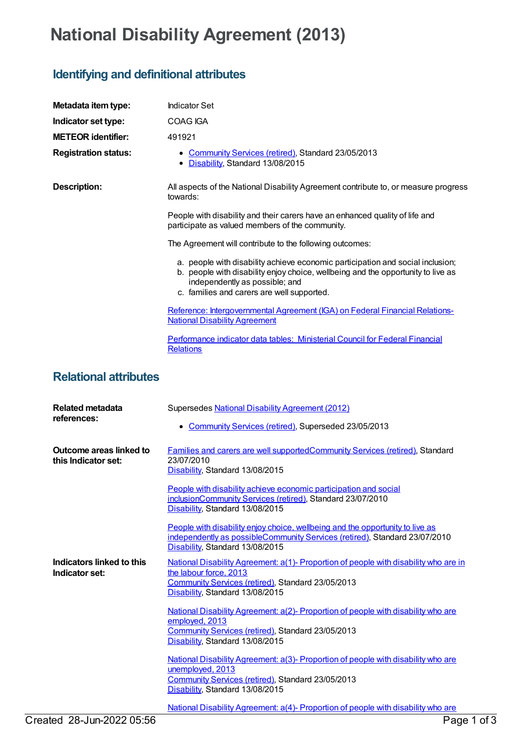## **National Disability Agreement (2013)**

## **Identifying and definitional attributes**

| Metadata item type:                                | <b>Indicator Set</b>                                                                                                                                                                                                                               |
|----------------------------------------------------|----------------------------------------------------------------------------------------------------------------------------------------------------------------------------------------------------------------------------------------------------|
| Indicator set type:                                | COAG IGA                                                                                                                                                                                                                                           |
| <b>METEOR identifier:</b>                          | 491921                                                                                                                                                                                                                                             |
| <b>Registration status:</b>                        | • Community Services (retired), Standard 23/05/2013<br>• Disability, Standard 13/08/2015                                                                                                                                                           |
| <b>Description:</b>                                | All aspects of the National Disability Agreement contribute to, or measure progress<br>towards:                                                                                                                                                    |
|                                                    | People with disability and their carers have an enhanced quality of life and<br>participate as valued members of the community.                                                                                                                    |
|                                                    | The Agreement will contribute to the following outcomes:                                                                                                                                                                                           |
|                                                    | a. people with disability achieve economic participation and social inclusion;<br>b. people with disability enjoy choice, wellbeing and the opportunity to live as<br>independently as possible; and<br>c. families and carers are well supported. |
|                                                    | Reference: Intergovernmental Agreement (IGA) on Federal Financial Relations-<br><b>National Disability Agreement</b>                                                                                                                               |
|                                                    | Performance indicator data tables: Ministerial Council for Federal Financial<br><b>Relations</b>                                                                                                                                                   |
| <b>Relational attributes</b>                       |                                                                                                                                                                                                                                                    |
| <b>Related metadata</b><br>references:             | Supersedes National Disability Agreement (2012)<br>• Community Services (retired), Superseded 23/05/2013                                                                                                                                           |
| Outcome areas linked to<br>this Indicator set:     | <b>Families and carers are well supported Community Services (retired), Standard</b><br>23/07/2010<br>Disability, Standard 13/08/2015                                                                                                              |
|                                                    | People with disability achieve economic participation and social<br>inclusionCommunity Services (retired), Standard 23/07/2010<br>Disability, Standard 13/08/2015                                                                                  |
|                                                    | People with disability enjoy choice, wellbeing and the opportunity to live as<br>independently as possibleCommunity Services (retired), Standard 23/07/2010<br>Disability, Standard 13/08/2015                                                     |
| <b>Indicators linked to this</b><br>Indicator set: | National Disability Agreement: a(1)- Proportion of people with disability who are in<br>the labour force, 2013<br>Community Services (retired), Standard 23/05/2013<br>Disability, Standard 13/08/2015                                             |
|                                                    | National Disability Agreement: a(2)- Proportion of people with disability who are<br>employed, 2013<br>Community Services (retired), Standard 23/05/2013<br>Disability, Standard 13/08/2015                                                        |
|                                                    | National Disability Agreement: a(3)- Proportion of people with disability who are<br>unemployed, 2013<br>Community Services (retired), Standard 23/05/2013                                                                                         |

National Disability [Agreement:](https://meteor.aihw.gov.au/content/514824) a(4)- Proportion of people with disability who are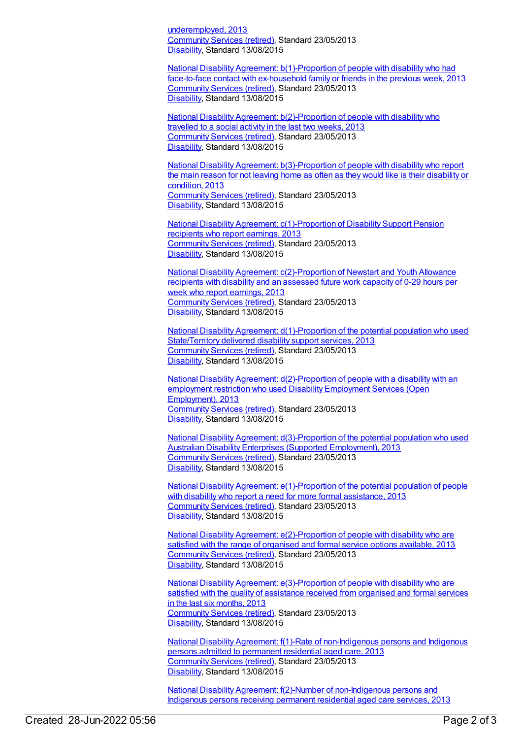underemployed, 2013 [Community](https://meteor.aihw.gov.au/RegistrationAuthority/1) Services (retired), Standard 23/05/2013 [Disability](https://meteor.aihw.gov.au/RegistrationAuthority/16), Standard 13/08/2015

National Disability Agreement: [b\(1\)-Proportion](https://meteor.aihw.gov.au/content/491931) of people with disability who had face-to-face contact with ex-household family or friends in the previous week, 2013 [Community](https://meteor.aihw.gov.au/RegistrationAuthority/1) Services (retired), Standard 23/05/2013 [Disability](https://meteor.aihw.gov.au/RegistrationAuthority/16), Standard 13/08/2015

National Disability Agreement: [b\(2\)-Proportion](https://meteor.aihw.gov.au/content/491933) of people with disability who travelled to a social activity in the last two weeks, 2013 [Community](https://meteor.aihw.gov.au/RegistrationAuthority/1) Services (retired), Standard 23/05/2013 [Disability](https://meteor.aihw.gov.au/RegistrationAuthority/16), Standard 13/08/2015

National Disability Agreement: [b\(3\)-Proportion](https://meteor.aihw.gov.au/content/491935) of people with disability who report the main reason for not leaving home as often as they would like is their disability or condition, 2013 [Community](https://meteor.aihw.gov.au/RegistrationAuthority/1) Services (retired), Standard 23/05/2013 [Disability](https://meteor.aihw.gov.au/RegistrationAuthority/16), Standard 13/08/2015

National Disability Agreement: [c\(1\)-Proportion](https://meteor.aihw.gov.au/content/491937) of Disability Support Pension recipients who report earnings, 2013 [Community](https://meteor.aihw.gov.au/RegistrationAuthority/1) Services (retired), Standard 23/05/2013 [Disability](https://meteor.aihw.gov.au/RegistrationAuthority/16), Standard 13/08/2015

National Disability Agreement: [c\(2\)-Proportion](https://meteor.aihw.gov.au/content/491939) of Newstart and Youth Allowance recipients with disability and an assessed future work capacity of 0-29 hours per week who report earnings, 2013 [Community](https://meteor.aihw.gov.au/RegistrationAuthority/1) Services (retired), Standard 23/05/2013 [Disability](https://meteor.aihw.gov.au/RegistrationAuthority/16), Standard 13/08/2015

National Disability Agreement: [d\(1\)-Proportion](https://meteor.aihw.gov.au/content/491941) of the potential population who used State/Territory delivered disability support services, 2013 [Community](https://meteor.aihw.gov.au/RegistrationAuthority/1) Services (retired), Standard 23/05/2013 [Disability](https://meteor.aihw.gov.au/RegistrationAuthority/16), Standard 13/08/2015

National Disability Agreement:  $d(2)$ -Proportion of people with a disability with an employment restriction who used Disability Employment Services (Open Employment), 2013 [Community](https://meteor.aihw.gov.au/RegistrationAuthority/1) Services (retired), Standard 23/05/2013 [Disability](https://meteor.aihw.gov.au/RegistrationAuthority/16), Standard 13/08/2015

National Disability Agreement: [d\(3\)-Proportion](https://meteor.aihw.gov.au/content/517326) of the potential population who used Australian Disability Enterprises (Supported Employment), 2013 [Community](https://meteor.aihw.gov.au/RegistrationAuthority/1) Services (retired), Standard 23/05/2013 [Disability](https://meteor.aihw.gov.au/RegistrationAuthority/16), Standard 13/08/2015

National Disability Agreement: [e\(1\)-Proportion](https://meteor.aihw.gov.au/content/491943) of the potential population of people with disability who report a need for more formal assistance, 2013 [Community](https://meteor.aihw.gov.au/RegistrationAuthority/1) Services (retired), Standard 23/05/2013 [Disability](https://meteor.aihw.gov.au/RegistrationAuthority/16), Standard 13/08/2015

National Disability Agreement: [e\(2\)-Proportion](https://meteor.aihw.gov.au/content/491945) of people with disability who are satisfied with the range of organised and formal service options available, 2013 [Community](https://meteor.aihw.gov.au/RegistrationAuthority/1) Services (retired), Standard 23/05/2013 [Disability](https://meteor.aihw.gov.au/RegistrationAuthority/16), Standard 13/08/2015

National Disability Agreement: [e\(3\)-Proportion](https://meteor.aihw.gov.au/content/491947) of people with disability who are satisfied with the quality of assistance received from organised and formal services in the last six months, 2013 [Community](https://meteor.aihw.gov.au/RegistrationAuthority/1) Services (retired), Standard 23/05/2013 [Disability](https://meteor.aihw.gov.au/RegistrationAuthority/16), Standard 13/08/2015

National Disability Agreement: f(1)-Rate of [non-Indigenous](https://meteor.aihw.gov.au/content/491949) persons and Indigenous persons admitted to permanent residential aged care, 2013 [Community](https://meteor.aihw.gov.au/RegistrationAuthority/1) Services (retired), Standard 23/05/2013 [Disability](https://meteor.aihw.gov.au/RegistrationAuthority/16), Standard 13/08/2015

National Disability Agreement: f(2)-Number of [non-Indigenous](https://meteor.aihw.gov.au/content/491951) persons and Indigenous persons receiving permanent residential aged care services, 2013